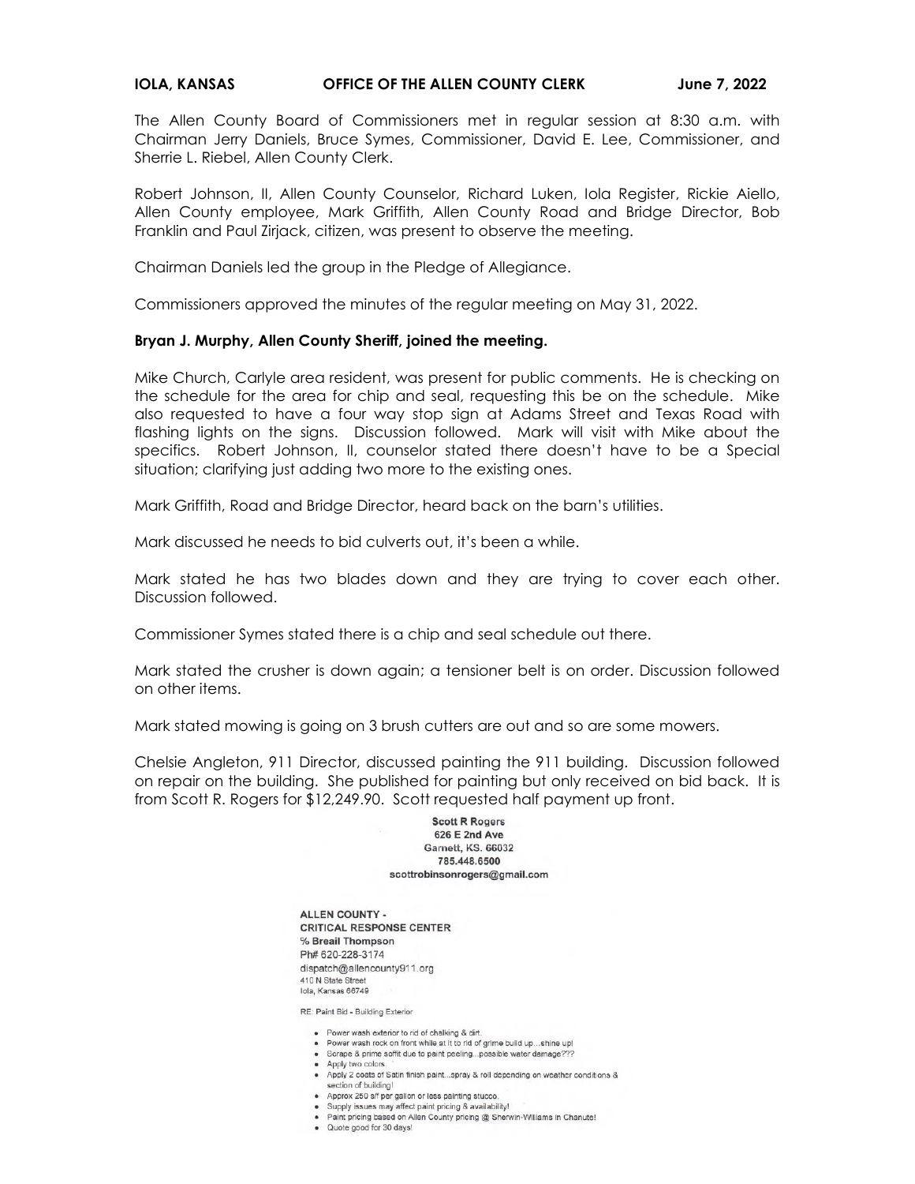## **IOLA, KANSAS OFFICE OF THE ALLEN COUNTY CLERK June 7, 2022**

The Allen County Board of Commissioners met in regular session at 8:30 a.m. with Chairman Jerry Daniels, Bruce Symes, Commissioner, David E. Lee, Commissioner, and Sherrie L. Riebel, Allen County Clerk.

Robert Johnson, II, Allen County Counselor, Richard Luken, Iola Register, Rickie Aiello, Allen County employee, Mark Griffith, Allen County Road and Bridge Director, Bob Franklin and Paul Zirjack, citizen, was present to observe the meeting.

Chairman Daniels led the group in the Pledge of Allegiance.

Commissioners approved the minutes of the regular meeting on May 31, 2022.

## **Bryan J. Murphy, Allen County Sheriff, joined the meeting.**

Mike Church, Carlyle area resident, was present for public comments. He is checking on the schedule for the area for chip and seal, requesting this be on the schedule. Mike also requested to have a four way stop sign at Adams Street and Texas Road with flashing lights on the signs. Discussion followed. Mark will visit with Mike about the specifics. Robert Johnson, II, counselor stated there doesn't have to be a Special situation; clarifying just adding two more to the existing ones.

Mark Griffith, Road and Bridge Director, heard back on the barn's utilities.

Mark discussed he needs to bid culverts out, it's been a while.

Mark stated he has two blades down and they are trying to cover each other. Discussion followed.

Commissioner Symes stated there is a chip and seal schedule out there.

Mark stated the crusher is down again; a tensioner belt is on order. Discussion followed on other items.

Mark stated mowing is going on 3 brush cutters are out and so are some mowers.

Chelsie Angleton, 911 Director, discussed painting the 911 building. Discussion followed on repair on the building. She published for painting but only received on bid back. It is from Scott R. Rogers for \$12,249.90. Scott requested half payment up front.

> **Scott R Rogers** 626 E 2nd Ave Garnett, KS, 66032 785.448.6500 scottrobinsonrogers@gmail.com

ALLEN COUNTY -**CRITICAL RESPONSE CENTER** % Breail Thompson Ph# 620-228-3174 dispatch@allencounty911.org 410 N State Street Iola, Kansas 66749

RE: Paint Bid - Building Exterior

- Power wash exterior to rid of chalking & dirt.
- . Power wash rock on front while at it to rid of grime build up...shine up!
- · Scrape & prime soffit due to paint peeling...possible water damage???
- · Apply two colors.
- Apply 2 coats of Satin finish paint...spray & roll depending on weather conditions &
- section of building! • Approx 250 s/f per gallon or less painting stucco.
- · Supply issues may affect paint pricing & availability!
- · Paint pricing based on Allen County pricing @ Sherwin-Williams in Chanute!
- · Quote good for 30 days!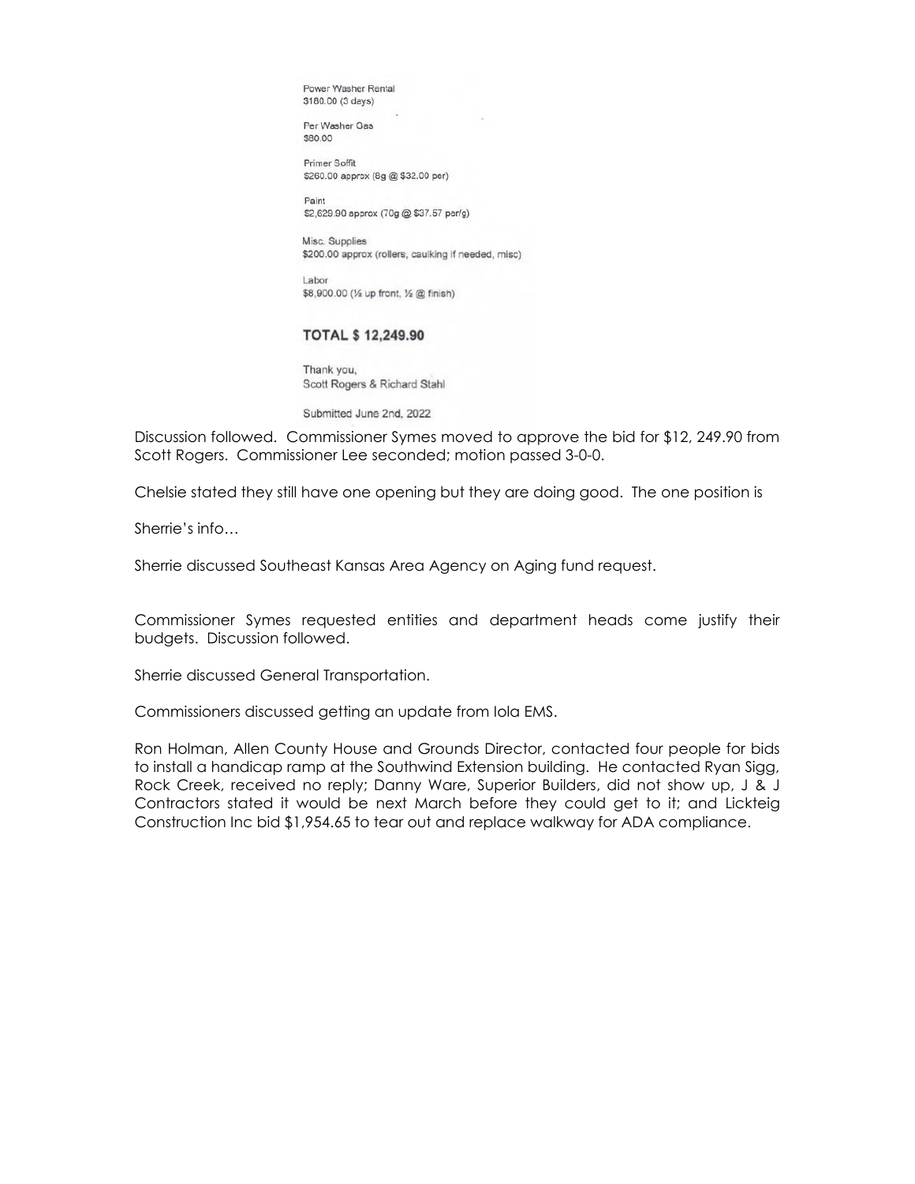Power Washer Rental \$180.00 (3 days)

Per Washer Gas \$80.00

Primer Soffit \$260.00 approx (8g @ \$32.00 per)

Paint \$2,629.90 approx (70g @ \$37.57 per/g)

Misc. Supplies \$200.00 approx (rollers, caulking if needed, misc)

Labor \$8,900.00 (1/2 up front, 1/2 @ finish)

## **TOTAL \$12,249.90**

Thank you, Scott Rogers & Richard Stahl

Submitted June 2nd, 2022

Discussion followed. Commissioner Symes moved to approve the bid for \$12, 249.90 from Scott Rogers. Commissioner Lee seconded; motion passed 3-0-0.

Chelsie stated they still have one opening but they are doing good. The one position is

Sherrie's info…

Sherrie discussed Southeast Kansas Area Agency on Aging fund request.

Commissioner Symes requested entities and department heads come justify their budgets. Discussion followed.

Sherrie discussed General Transportation.

Commissioners discussed getting an update from Iola EMS.

Ron Holman, Allen County House and Grounds Director, contacted four people for bids to install a handicap ramp at the Southwind Extension building. He contacted Ryan Sigg, Rock Creek, received no reply; Danny Ware, Superior Builders, did not show up, J & J Contractors stated it would be next March before they could get to it; and Lickteig Construction Inc bid \$1,954.65 to tear out and replace walkway for ADA compliance.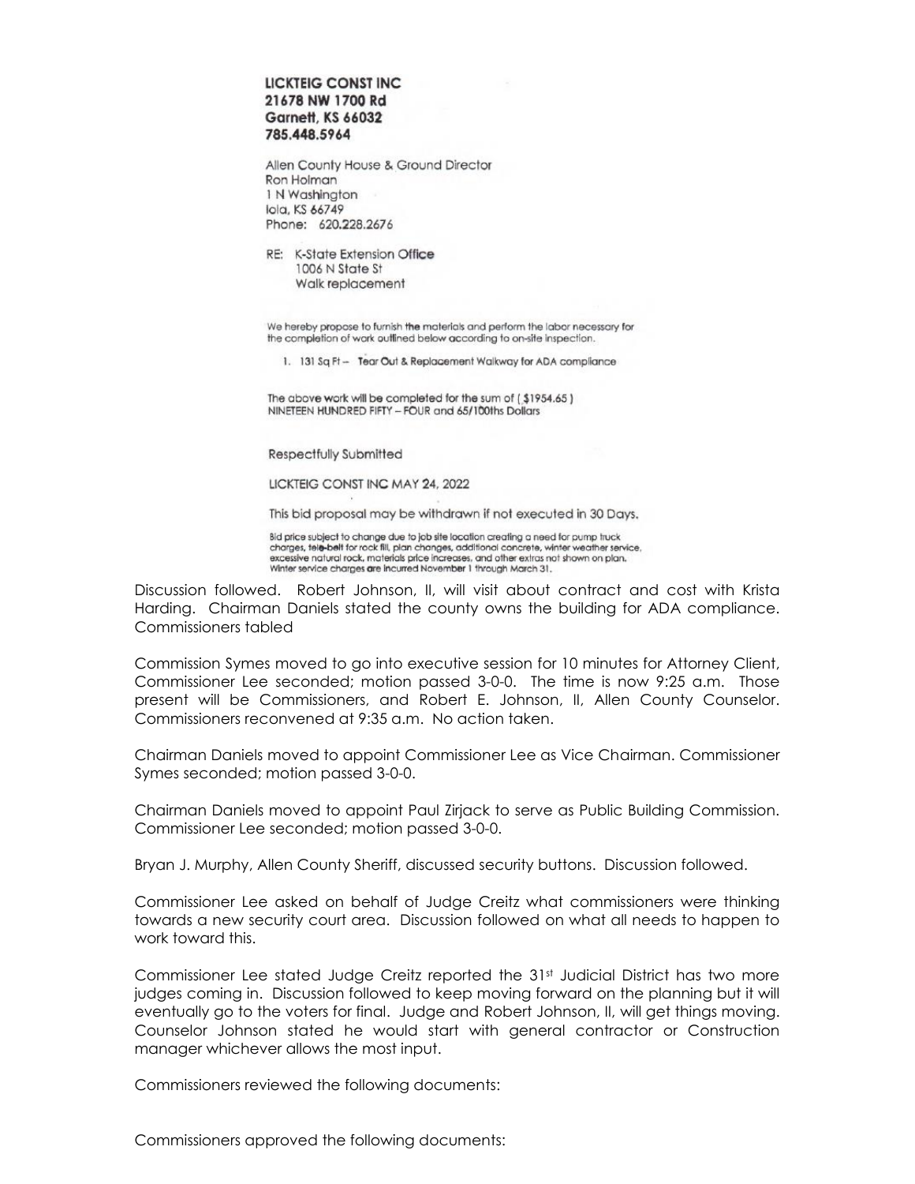## LICKTEIG CONST INC 21678 NW 1700 Rd **Garnett, KS 66032** 785.448.5964

Allen County House & Ground Director Ron Holman 1 N Washington lola, KS 66749 Phone: 620.228.2676

RE: K-State Extension Office 1006 N State St Walk replacement

We hereby propose to furnish the materials and perform the labor necessary for the completion of work outlined below according to on-site inspection.

1. 131 Sq Ft - Tear Out & Replacement Walkway for ADA compliance

The above work will be completed for the sum of (\$1954.65) NINETEEN HUNDRED FIFTY - FOUR and 65/100ths Dollars

Respectfully Submitted

LICKTEIG CONST INC MAY 24, 2022

This bid proposal may be withdrawn if not executed in 30 Days.

Bid price subject to change due to job site location creating a need for pump truck charges, tele-belt for rock fill, plan changes, additional concrete, winter weather service, excessive natural rock, materials price increases, and other extras not shown on plan. Winter service charges are incurred November 1 through March 31.

Discussion followed. Robert Johnson, II, will visit about contract and cost with Krista Harding. Chairman Daniels stated the county owns the building for ADA compliance. Commissioners tabled

Commission Symes moved to go into executive session for 10 minutes for Attorney Client, Commissioner Lee seconded; motion passed 3-0-0. The time is now 9:25 a.m. Those present will be Commissioners, and Robert E. Johnson, II, Allen County Counselor. Commissioners reconvened at 9:35 a.m. No action taken.

Chairman Daniels moved to appoint Commissioner Lee as Vice Chairman. Commissioner Symes seconded; motion passed 3-0-0.

Chairman Daniels moved to appoint Paul Zirjack to serve as Public Building Commission. Commissioner Lee seconded; motion passed 3-0-0.

Bryan J. Murphy, Allen County Sheriff, discussed security buttons. Discussion followed.

Commissioner Lee asked on behalf of Judge Creitz what commissioners were thinking towards a new security court area. Discussion followed on what all needs to happen to work toward this.

Commissioner Lee stated Judge Creitz reported the 31<sup>st</sup> Judicial District has two more judges coming in. Discussion followed to keep moving forward on the planning but it will eventually go to the voters for final. Judge and Robert Johnson, II, will get things moving. Counselor Johnson stated he would start with general contractor or Construction manager whichever allows the most input.

Commissioners reviewed the following documents:

Commissioners approved the following documents: